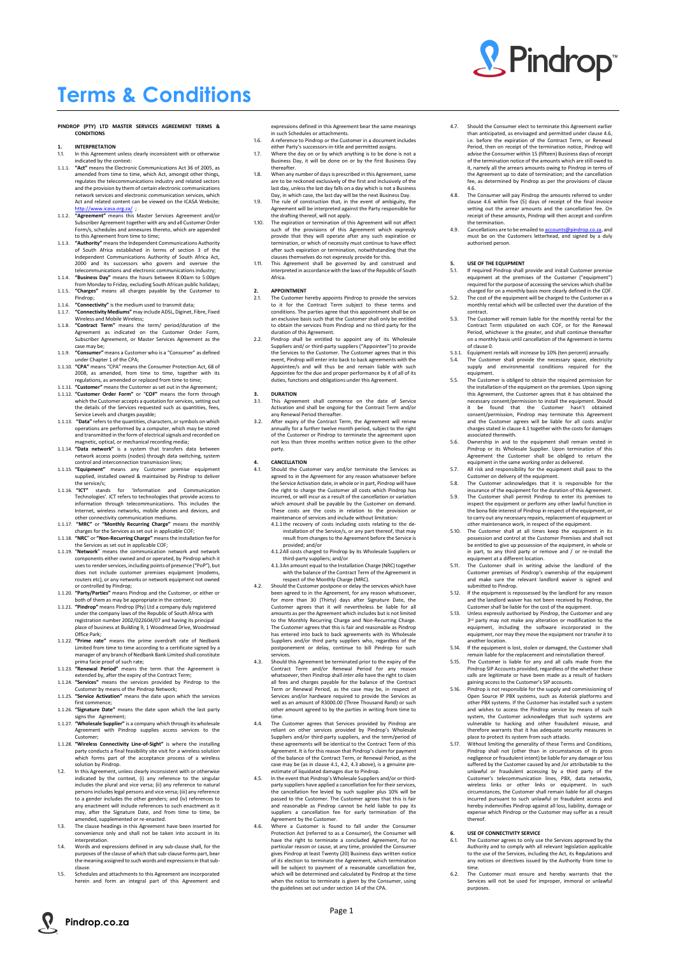Page 1



# & Pindrop®

## **Terms & Conditions**

#### **PINDROP (PTY) LTD MASTER SERVICES AGREEMENT TERMS & CONDITIONS**

## **1. INTERPRETATION**

- In this Agreement unless clearly inconsistent with or otherwise indicated by the context:
- 1.1.1. **"Act"** means the Electronic Communications Act 36 of 2005, as amended from time to time, which Act, amongst other things, regulates the telecommunications industry and related sectors and the provision by them of certain electronic communications network services and electronic communication services, which Act and related content can be viewed on the ICASA Website; <http://www.icasa.org.za/>
- 1.1.2. **"Agreement"** means this Master Services Agreement and/or Subscriber Agreement together with any and all Customer Order Form/s, schedules and annexures thereto, which are appended to this Agreement from time to time;
- 1.1.3. **"Authority"** means the Independent Communications Authority of South Africa established in terms of section 3 of the Independent Communications Authority of South Africa Act, 2000 and its successors who govern and oversee the telecommunications and electronic communications industry;
- 1.1.4. **"Business Day"** means the hours between 8:00am to 5:00pm from Monday to Friday, excluding South African public holidays;
- 1.1.5. **"Charges"** means all charges payable by the Customer to Pindrop;
- 1.1.6. **"Connectivity"** is the medium used to transmit data; 1.1.7. **"Connectivity Mediums"** may include ADSL, Diginet, Fibre, Fixed Wireless and Mobile Wireless;
- 1.1.8. **"Contract Term"** means the term/ period/duration of the Agreement as indicated on the Customer Order Form, Subscriber Agreement, or Master Services Agreement as the case may be;
- 1.1.9. **"Consumer"** means a Customer who is a "Consumer" as defined under Chapter 1 of the CPA;
- 1.1.10. **"CPA"** means "CPA" means the Consumer Protection Act, 68 of 2008, as amended, from time to time, together with its regulations, as amended or replaced from time to time;
- 1.1.11. **"Customer"** means the Customer as set out in the Agreement;
- 1.1.12. **"Customer Order Form"** or "**COF"** means the form through which the Customer accepts a quotation for services, setting out the details of the Services requested such as quantities, fees, Service Levels and charges payable;
- 1.1.13. **"Data"** refers to the quantities, characters, or symbols on which operations are performed by a computer, which may be stored and transmitted in the form of electrical signals and recorded on magnetic, optical, or mechanical recording media;
- 1.1.14. **"Data network"** is a system that transfers data between network access points (nodes) through data switching, system control and interconnection transmission lines;
- 1.1.15. **"Equipment"** means any Customer premise equipment supplied, installed owned & maintained by Pindrop to deliver the service/s;
- 1.1.16. **"ICT"** stands for 'Information and Communication Technologies'. ICT refers to technologies that provide access to information through telecommunications. This includes the Internet, wireless networks, mobile phones and devices, and other connectivity communication mediums.
- 1.1.17. **"MRC"** or **"Monthly Recurring Charge"** means the monthly charges for the Services as set out in applicable COF;
- 1.1.18. **"NRC**" or **"Non-Recurring Charge"** means the installation fee for the Services as set out in applicable COF;
- 1.1.19. "**Network**" means the communication network and network components either owned and or operated, by Pindrop which it uses to render services, including points of presence ("PoP"), but does not include customer premises equipment (modems, routers etc), or any networks or network equipment not owned or controlled by Pindrop;
- 1.1.20. **"Party/Parties"** means Pindrop and the Customer, or either or both of them as may be appropriate in the context;
- 1.1.21. **"Pindrop"** means Pindrop (Pty) Ltd a company duly registered under the company laws of the Republic of South Africa with registration number 2002/022604/07 and having its principal place of business at Building 9, 1 Woodmead Drive, Woodmead Office Park;
- 1.1.22. **"Prime rate"** means the prime overdraft rate of Nedbank Limited from time to time according to a certificate signed by a manager of any branch of Nedbank Bank Limited shall constitute prima facie proof of such rate;
- 1.1.23. **"Renewal Period"** means the term that the Agreement is extended by, after the expiry of the Contract Term;
- 1.1.24. **"Services"** means the services provided by Pindrop to the Customer by means of the Pindrop Network; 1.1.25. **"Service Activation"** means the date upon which the services
- first commence; 1.1.26. **"Signature Date"** means the date upon which the last party
- signs the Agreement;
- <span id="page-0-0"></span>Should the Customer vary and/or terminate the Services as agreed to in the Agreement for any reason whatsoever before the Service Activation date, in whole or in part, Pindrop will have the right to charge the Customer all costs which Pindrop has incurred, or will incur as a result of the cancellation or variation which amount shall be payable by the Customer on demand. These costs are the costs in relation to the provision or maintenance of services and include without limitation:
	- 4.1.1the recovery of costs including costs relating to the deinstallation of the Service/s, or any part thereof, that may result from changes to the Agreement before the Service is provided; and/or
	- 4.1.2All costs charged to Pindrop by its Wholesale Suppliers or third-party suppliers; and/or
	- 4.1.3An amount equal to the Installation Charge (NRC) together with the balance of the Contract Term of the Agreement in respect of the Monthly Charge (MRC).
- 4.2. Should the Customer postpone or delay the services which have been agreed to in the Agreement, for any reason whatsoever, for more than 30 (Thirty) days after Signature Date, the Customer agrees that it will nevertheless be liable for all amounts as per the Agreement which includes but is not limited to the Monthly Recurring Charge and Non-Recurring Charge. The Customer agrees that this is fair and reasonable as Pindrop has entered into back to back agreements with its Wholesale Suppliers and/or third party suppliers who, regardless of the postponement or delay, continue to bill Pindrop for such services.
- 4.3. Should this Agreement be terminated prior to the expiry of the Contract Term and/or Renewal Period for any reason whatsoever, then Pindrop shall *inter alia* have the right to claim all fees and charges payable for the balance of the Contract Term or Renewal Period, as the case may be, in respect of Services and/or hardware required to provide the Services as well as an amount of R3000.00 (Three Thousand Rand) or such other amount agreed to by the parties in writing from time to
- 4.4. The Customer agrees that Services provided by Pindrop are reliant on other services provided by Pindrop's Wholesale Suppliers and/or third-party suppliers, and the term/period of these agreements will be identical to the Contract Term of this Agreement. It is for this reason that Pindrop's claim for payment of the balance of the Contract Term, or Renewal Period, as the case may be (as in claus[e 4.1,](#page-0-0) 4.2, 4.3 above), is a genuine preestimate of liquidated damages due to Pindrop.

expressions defined in this Agreement bear the same meanings in such Schedules or attachments.

- 1.6. A reference to Pindrop or the Customer in a document includes either Party's successors-in-title and permitted assigns.
- 1.7. Where the day on or by which anything is to be done is not a Business Day, it will be done on or by the first Business Day thereafter.
- 1.8. When any number of daysis prescribed in this Agreement, same are to be reckoned exclusively of the first and inclusively of the last day, unless the last day falls on a day which is not a Business Day, in which case, the last day will be the next Business Day.
- 1.9. The rule of construction that, in the event of ambiguity, the Agreement will be interpreted against the Party responsible for the drafting thereof, will not apply.
- 1.10. The expiration or termination of this Agreement will not affect such of the provisions of this Agreement which expressly provide that they will operate after any such expiration or termination, or which of necessity must continue to have effect after such expiration or termination, notwithstanding that the clauses themselves do not expressly provide for this.
- 1.11. This Agreement shall be governed by and construed and interpreted in accordance with the laws of the Republic of South Africa.

#### **2. APPOINTMENT**

- 2.1. The Customer hereby appoints Pindrop to provide the services to it for the Contract Term subject to these terms and conditions. The parties agree that this appointment shall be on an exclusive basis such that the Customer shall only be entitled to obtain the services from Pindrop and no third party for the duration of this Agreement.
- 2.2. Pindrop shall be entitled to appoint any of its Wholesale Suppliers and/ or third-party suppliers ("Appointee") to provide the Services to the Customer. The Customer agrees that in this event, Pindrop will enter into back to back agreements with the Appointee/s and will thus be and remain liable with such Appointee for the due and proper performance by it of all of its duties, functions and obligations under this Agreement.

#### **3. DURATION**

- 3.1. This Agreement shall commence on the date of Service Activation and shall be ongoing for the Contract Term and/or any Renewal Period thereafter.
- 3.2. After expiry of the Contract Term, the Agreement will renew annually for a further twelve month period, subject to the right of the Customer or Pindrop to terminate the agreement upon not less than three months written notice given to the other party.

- 1.1.27. **"Wholesale Supplier"** is a company which through its wholesale Agreement with Pindrop supplies access services to the Customer;
- 1.1.28. **"Wireless Connectivity Line-of-Sight"** is where the installing party conducts a final feasibility site visit for a wireless solution which forms part of the acceptance process of a wireless solution by Pindrop.
- 1.2. In this Agreement, unless clearly inconsistent with or otherwise indicated by the context, (i) any reference to the singular includes the plural and vice versa; (ii) any reference to natural persons includes legal persons and vice versa; (iii) any reference to a gender includes the other genders; and (iv) references to any enactment will include references to such enactment as it may, after the Signature Date, and from time to time, be amended, supplemented or re-enacted.
- 1.3. The clause headings in this Agreement have been inserted for convenience only and shall not be taken into account in its interpretation.
- 1.4. Words and expressions defined in any sub-clause shall, for the purposes of the clause of which that sub-clause forms part, bear the meaning assigned to such words and expressions in that subclause.
- 1.5. Schedules and attachments to this Agreement are incorporated herein and form an integral part of this Agreement and
- 4.5. In the event that Pindrop's Wholesale Suppliers and/or or thirdparty suppliers have applied a cancellation fee for their services, the cancellation fee levied by such supplier plus 10% will be passed to the Customer. The Customer agrees that this is fair and reasonable as Pindrop cannot be held liable to pay its suppliers a cancellation fee for early termination of the Agreement by the Customer.
- 4.6. Where a Customer is found to fall under the Consumer Protection Act (referred to as a Consumer), the Consumer will have the right to terminate a concluded Agreement, for no particular reason or cause, at any time, provided the Consumer gives Pindrop at least Twenty (20) Business days written notice of its election to terminate the Agreement, which termination will be subject to payment of a reasonable cancellation fee. which will be determined and calculated by Pindrop at the time when the notice to terminate is given by the Consumer, using the guidelines set out under section 14 of the CPA.

#### <span id="page-0-1"></span>**4. CANCELLATION**

time.

- 4.7. Should the Consumer elect to terminate this Agreement earlier than anticipated, as envisaged and permitted under clause 4.6, i.e. before the expiration of the Contract Term, or Renewal Period, then on receipt of the termination notice, Pindrop will advise the Consumer within 15 (fifteen) Business days of receipt of the termination notice of the amounts which are still owed to it, namely all the arrears amounts owing to Pindrop in terms of the Agreement up to date of termination; and the cancellation fee, as determined by Pindrop as per the provisions of clause 4.6.
- The Consumer will pay Pindrop the amounts referred to under clause 4.6 within five (5) days of receipt of the final invoice setting out the arrear amounts and the cancellation fee. On receipt of these amounts, Pindrop will then accept and confirm the termination.
- 4.9. Cancellations are to be emailed to [accounts@pindrop.co.za,](mailto:accounts@pindrop.co.za) and must be on the Customers letterhead, and signed by a duly authorised person.

#### **5. USE OF THE EQUIPMENT**

- 5.1. If required Pindrop shall provide and install Customer premise equipment at the premises of the Customer ("equipment") required for the purpose of accessing the services which shall be charged for on a monthly basis more clearly defined in the COF.
- 5.2. The cost of the equipment will be charged to the Customer as a monthly rental which will be collected over the duration of the contract.
- 5.3. The Customer will remain liable for the monthly rental for the Contract Term stipulated on each COF, or for the Renewal Period, whichever is the greater, and shall continue thereafter on a monthly basis until cancellation of the Agreement in terms of claus[e 0.](#page-0-1)
- 5.3.1. Equipment rentals will increase by 10% (ten percent) annually.
- 5.4. The Customer shall provide the necessary space, electricity supply and environmental conditions required for the equipment.
- 5.5. The Customer is obliged to obtain the required permission for the installation of the equipment on the premises. Upon signing this Agreement, the Customer agrees that it has obtained the necessary consent/permission to install the equipment. Should it be found that the Customer hasn't obtained consent/permission, Pindrop may terminate this Agreement and the Customer agrees will be liable for all costs and/or charges stated in clause 4.1 together with the costs for damages associated therewith.
- 5.6. Ownership in and to the equipment shall remain vested in Pindrop or its Wholesale Supplier. Upon termination of this Agreement the Customer shall be obliged to return the equipment in the same working order as delivered.
- 5.7. All risk and responsibility for the equipment shall pass to the Customer on delivery of the equipment.
- 5.8. The Customer acknowledges that it is responsible for the insurance of the equipment for the duration of this Agreement.
- 5.9. The Customer shall permit Pindrop to enter its premises to inspect the equipment or perform any other lawful function in the bona fide interest of Pindrop in respect of the equipment, or to carry out any necessary repairs, replacement of equipment or other maintenance work, in respect of the equipment.
- 5.10. The Customer shall at all times keep the equipment in its possession and control at the Customer Premises and shall not be entitled to give up possession of the equipment, in whole or in part, to any third party or remove and / or re-install the equipment at a different location.
- The Customer shall in writing advise the landlord of the Customer premises of Pindrop's ownership of the equipment and make sure the relevant landlord waiver is signed and submitted to Pindrop.
- 5.12. If the equipment is repossessed by the landlord for any reason and the landlord waiver has not been received by Pindrop, the Customer shall be liable for the cost of the equipment.
- 5.13. Unless expressly authorised by Pindrop, the Customer and any 3<sup>rd</sup> party may not make any alteration or modification to the equipment, including the software incorporated in the equipment, nor may they move the equipment nor transfer it to another location.
- 5.14. If the equipment is lost, stolen or damaged, the Customer shall remain liable for the replacement and reinstallation thereof.
- 5.15. The Customer is liable for any and all calls made from the Pindrop SIP Accounts provided, regardless of the whether these calls are legitimate or have been made as a result of hackers gaining access to the Customer's SIP accounts.
- 5.16. Pindrop is not responsible for the supply and commissioning of Open Source IP PBX systems, such as Asterisk platforms and other PBX systems. If the Customer has installed such a system and wishes to access the Pindrop service by means of such system, the Customer acknowledges that such systems are vulnerable to hacking and other fraudulent misuse, and therefore warrants that it has adequate security measures in place to protect its system from such attacks. 5.17. Without limiting the generality of these Terms and Conditions, Pindrop shall not (other than in circumstances of its gross negligence or fraudulent intent) be liable for any damage or loss suffered by the Customer caused by and /or attributable to the unlawful or fraudulent accessing by a third party of the Customer's telecommunication lines, PBX, data networks, wireless links or other links or equipment. In such circumstances, the Customer shall remain liable for all charges incurred pursuant to such unlawful or fraudulent access and hereby indemnifies Pindrop against all loss, liability, damage or expense which Pindrop or the Customer may suffer as a result thereof.

#### **6. USE OF CONNECTIVITY SERVICE**

- 6.1. The Customer agrees to only use the Services approved by the Authority and to comply with all relevant legislation applicable to the use of the Services, including the Act, its Regulations and any notices or directives issued by the Authority from time to time.
- 6.2. The Customer must ensure and hereby warrants that the Services will not be used for improper, immoral or unlawful purposes.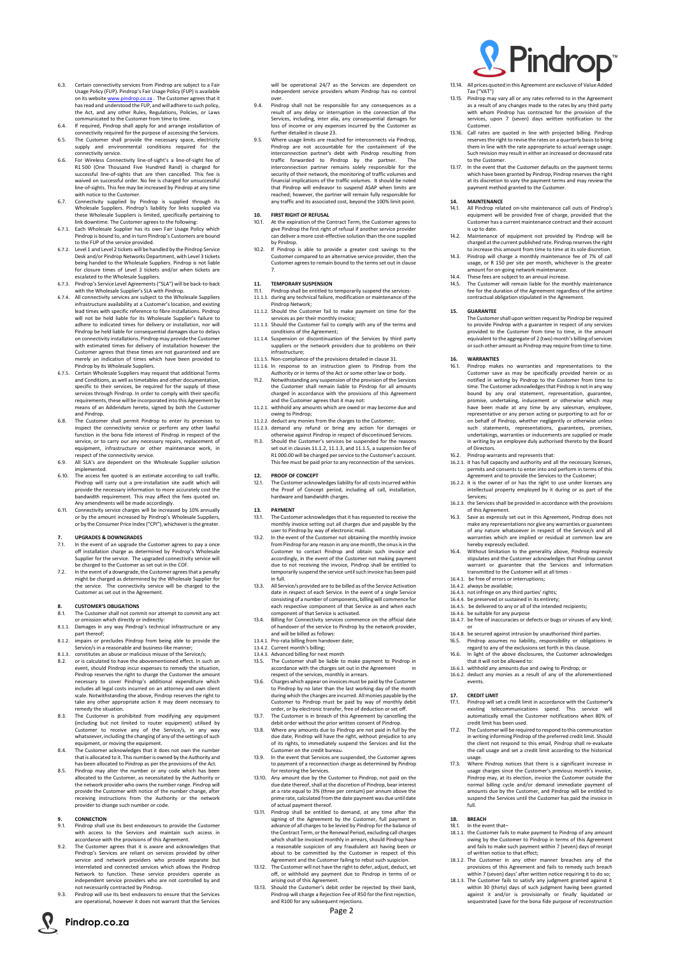

**Pindrop.co.za**

- 6.3. Certain connectivity services from Pindrop are subject to a Fair Usage Policy (FUP). Pindrop's Fair Usage Policy (FUP) is available on its websit[e www.pindrop.co.za](http://www.pindrop.co.za/) . The Customer agrees that it has read and understood the FUP, and will adhere to such policy, the Act, and any other Rules, Regulations, Policies, or Laws communicated to the Customer from time to time.
- 6.4. If required, Pindrop shall apply for and arrange installation of connectivity required for the purpose of accessing the Services.
- 6.5. The Customer shall provide the necessary space, electricity supply and environmental conditions required for the connectivity service.
- 6.6. For Wireless Connectivity line-of-sight's a line-of-sight fee of R1 500 (One Thousand Five Hundred Rand) is charged for successful line-of-sights that are then cancelled. This fee is waived on successful order. No fee is charged for unsuccessful line-of-sights. This fee may be increased by Pindrop at any time with notice to the Customer.
- 6.7. Connectivity supplied by Pindrop is supplied through its Wholesale Suppliers. Pindrop's liability for links supplied via these Wholesale Suppliers is limited, specifically pertaining to link downtime. The Customer agrees to the following:
- 6.7.1. Each Wholesale Supplier has its own Fair Usage Policy which Pindrop is bound to, and in turn Pindrop's Customers are bound to the FUP of the service provided.
- 6.7.2. Level 1 and Level 2 tickets will be handled by the Pindrop Service Desk and/or Pindrop Networks Department, with Level 3 tickets being handed to the Wholesale Suppliers. Pindrop is not liable for closure times of Level 3 tickets and/or when tickets are escalated to the Wholesale Suppliers.
- 6.7.3. Pindrop's Service Level Agreements ("SLA") will be back-to-back with the Wholesale Supplier's SLA with Pindrop.
- 6.7.4. All connectivity services are subject to the Wholesale Suppliers infrastructure availability at a Customer's location, and existing lead times with specific reference to fibre installations. Pindrop will not be held liable for its Wholesale Supplier's failure to adhere to indicated times for delivery or installation, nor will Pindrop be held liable for consequential damages due to delays on connectivity installations. Pindrop may provide the Customer with estimated times for delivery of installation however the Customer agrees that these times are not guaranteed and are merely an indication of times which have been provided to Pindrop by its Wholesale Suppliers.
- 6.7.5. Certain Wholesale Suppliers may request that additional Terms and Conditions, as well as timetables and other documentation, specific to their services, be required for the supply of these services through Pindrop. In order to comply with their specific requirements, these will be incorporated into this Agreement by means of an Addendum hereto, signed by both the Customer and Pindrop.
- The Customer shall permit Pindrop to enter its premises to inspect the connectivity service or perform any other lawful function in the bona fide interest of Pindrop in respect of the service, or to carry our any necessary repairs, replacement of equipment, infrastructure or other maintenance work, in respect of the connectivity service.
- 6.9. All SLA's are dependent on the Wholesale Supplier solution implemented.
- 6.10. The access fee quoted is an estimate according to call traffic. Pindrop will carry out a pre-installation site audit which will provide the necessary information to more accurately cost the bandwidth requirement. This may affect the fees quoted on. Any amendments will be made accordingly.
- 6.11. Connectivity service charges will be increased by 10% annually or by the amount increased by Pindrop's Wholesale Suppliers, or by the Consumer Price Index ("CPI"), whichever is the greater.

- Pindrop shall use its best endeavours to provide the Customer with access to the Services and maintain such access in accordance with the provisions of this Agreement.
- 9.2. The Customer agrees that it is aware and acknowledges that Pindrop's Services are reliant on services provided by other service and network providers who provide separate but interrelated and connected services which allows the Pindrop Network to function. These service providers operate as independent service providers who are not controlled by and not necessarily contracted by Pindrop.
- 9.3. Pindrop will use its best endeavors to ensure that the Services are operational, however it does not warrant that the Services

#### <span id="page-1-0"></span>**7. UPGRADES & DOWNGRADES**

- 7.1. In the event of an upgrade the Customer agrees to pay a once off installation charge as determined by Pindrop's Wholesale Supplier for the service. The upgraded connectivity service will be charged to the Customer as set out in the COF.
- 7.2. In the event of a downgrade, the Customer agrees that a penalty might be charged as determined by the Wholesale Supplier for the service. The connectivity service will be charged to the Customer as set out in the Agreement.

#### **8. CUSTOMER'S OBLIGATIONS**

- 8.1. The Customer shall not commit nor attempt to commit any act or omission which directly or indirectly:
- 8.1.1. Damages in any way Pindrop's technical infrastructure or any part thereof; 8.1.2. impairs or precludes Pindrop from being able to provide the
- Service/s in a reasonable and business-like manner;
- 8.1.3. constitutes an abuse or malicious misuse of the Service/s;
- 8.2. or is calculated to have the abovementioned effect. In such an event, should Pindrop incur expenses to remedy the situation, Pindrop reserves the right to charge the Customer the amount necessary to cover Pindrop's additional expenditure which includes all legal costs incurred on an attorney and own client scale. Notwithstanding the above, Pindrop reserves the right to take any other appropriate action it may deem necessary to remedy the situation.
- 8.3. The Customer is prohibited from modifying any equipment
- (including but not limited to router equipment) utilised by Customer to receive any of the Service/s, in any way whatsoever, including the changing of any of the settings of such equipment, or moving the equipment.
- 8.4. The Customer acknowledges that it does not own the number that is allocated to it. This number is owned by the Authority and has been allocated to Pindrop as per the provisions of the Act.
- 8.5. Pindrop may alter the number or any code which has been allocated to the Customer, as necessitated by the Authority or the network provider who owns the number range. Pindrop will provide the Customer with notice of the number change, after receiving instructions from the Authority or the network provider to change such number or code.

## **9. CONNECTION**<br>**9.1.** Pindrop shall

will be operational 24/7 as the Services are dependent on independent service providers whom Pindrop has no control over.

- & Pindrop<sup>®</sup>
- 13.14. All prices quoted in this Agreement are exclusive of Value Added Tax ("VAT")
- 13.15. Pindrop may vary all or any rates referred to in the Agreement as a result of any changes made to the rates by any third party with whom Pindrop has contracted for the provision of the services, upon 7 (seven) days written notification to the Customer.
- 13.16. Call rates are quoted in line with projected billing. Pindrop reserves the right to revise the rates on a quarterly basis to bring them in line with the rate appropriate to actual average usage. Such revision may result in either an increased or decreased rate to the Customer.
- 13.17. In the event that the Customer defaults on the payment terms which have been granted by Pindrop, Pindrop reserves the right at its discretion to vary the payment terms and may review the payment method granted to the Customer.
- 9.4. Pindrop shall not be responsible for any consequences as a result of any delay or interruption in the connection of the Services, including, inter alia, any consequential damages for loss of income or any expenses incurred by the Customer as further detailed in clause [23.](#page-2-0)
- Where usage limits are reached for interconnects via Pindrop, Pindrop are not accountable for the containment of the interconnection partner's debt with Pindrop resulting from traffic forwarded to Pindrop by the partner. The interconnection partner remains solely responsible for the security of their network, the monitoring of traffic volumes and financial implications of the traffic volumes. It should be noted that Pindrop will endeavor to suspend ASAP when limits are reached; however, the partner will remain fully responsible for any traffic and its associated cost, beyond the 100% limit point.

The Customer shall upon written request by Pindrop be required to provide Pindrop with a guarantee in respect of any services provided to the Customer from time to time, in the amount equivalent to the aggregate of 2 (two) month's billing of services or such other amount as Pindrop may require from time to time.

#### **10. FIRST RIGHT OF REFUSAL**

- 10.1. At the expiration of the Contract Term, the Customer agrees to give Pindrop the first right of refusal if another service provider can deliver a more cost-effective solution than the one supplied by Pindrop.
- 10.2. If Pindrop is able to provide a greater cost savings to the Customer compared to an alternative service provider, then the Customer agrees to remain bound to the terms set out in clause [7.](#page-1-0)

#### **11. TEMPORARY SUSPENSION**

- Pindrop makes no warranties and representations to the Customer save as may be specifically provided herein or as notified in writing by Pindrop to the Customer from time to time. The Customer acknowledges that Pindrop is not in any way bound by any oral statement, representation, guarantee, promise, undertaking, inducement or otherwise which may have been made at any time by any salesman, employee, representative or any person acting or purporting to act for or on behalf of Pindrop, whether negligently or otherwise unless such statements, representations, guarantees, promises, undertakings, warranties or inducements are supplied or made in writing by an employee duly authorised thereto by the Board of Directors.
- 16.2. Pindrop warrants and represents that:
- 16.2.1. it has full capacity and authority and all the necessary licenses, permits and consents to enter into and perform in terms of this Agreement and to provide the Services to the Customer;
- 16.2.2. it is the owner of or has the right to use under licenses any intellectual property employed by it during or as part of the Services;
- 16.2.3. the Services shall be provided in accordance with the provisions of this Agreement.
- 16.3. Save as expressly set out in this Agreement, Pindrop does not make any representations nor give any warranties or guarantees of any nature whatsoever in respect of the Service/s and all warranties which are implied or residual at common law are hereby expressly excluded.
- 16.4. Without limitation to the generality above, Pindrop expressly stipulates and the Customer acknowledges that Pindrop cannot warrant or guarantee that the Services and information transmitted to the Customer will at all times -
- 16.4.1. be free of errors or interruptions; 16.4.2. always be available;
- 
- 16.4.3. not infringe on any third parties' rights; 16.4.4. be preserved or sustained in its entirety;
- 16.4.5. be delivered to any or all of the intended recipients;
- 16.4.6. be suitable for any purpose
- 16.4.7. be free of inaccuracies or defects or bugs or viruses of any kind; or
- 16.4.8. be secured against intrusion by unauthorised third parties. 16.5. Pindrop assumes no liability, responsibility or obligations in
- regard to any of the exclusions set forth in this clause. 16.6. In light of the above disclosures, the Customer acknowledges
- that it will not be allowed to: 16.6.1. withhold any amounts due and owing to Pindrop; or
- 16.6.2. deduct any monies as a result of any of the aforementioned events.
- 11.1. Pindrop shall be entitled to temporarily suspend the services-11.1.1. during any technical failure, modification or maintenance of the
- Pindrop Network; 11.1.2. Should the Customer fail to make payment on time for the
- <span id="page-1-1"></span>services as per their monthly invoice; 11.1.3. Should the Customer fail to comply with any of the terms and
- <span id="page-1-2"></span>conditions of the Agreement;
- 11.1.4. Suspension or discontinuation of the Services by third party suppliers or the network providers due to problems on their infrastructure;
- <span id="page-1-3"></span>11.1.5. Non-compliance of the provisions detailed in clause 31. 11.1.6. In response to an instruction given to Pindrop from the
- Authority or in terms of the Act or some other law or body. 11.2. Notwithstanding any suspension of the provision of the Services the Customer shall remain liable to Pindrop for all amounts charged in accordance with the provisions of this Agreement and the Customer agrees that it may not:
- 11.2.1. withhold any amounts which are owed or may become due and owing to Pindrop;
- 11.2.2. deduct any monies from the charges to the Customer; 11.2.3. demand any refund or bring any action for damages or
- otherwise against Pindrop in respect of discontinued Services. 11.3. Should the Customer's services be suspended for the reasons
- set out in clause[s 11.1.2,](#page-1-1) [11.1.3,](#page-1-2) an[d 11.1.5,](#page-1-3) a suspension fee of R1 000.00 will be charged per service to the Customer's account. This fee must be paid prior to any reconnection of the services.

- **18. BREACH 18.1 In the ev-**In the event that-
- 18.1.1. the Customer fails to make payment to Pindrop of any amount owing by the Customer to Pindrop in terms of this Agreement and fails to make such payment within 7 (seven) days of receipt of written notice to that effect;
- 18.1.2. The Customer in any other manner breaches any of the provisions of this Agreement and fails to remedy such breach within 7 (seven) days' after written notice requiring it to do so;
- 18.1.3. The Customer fails to satisfy any judgment granted against it within 30 (thirty) days of such judgment having been granted against it and/or is provisionally or finally liquidated or sequestrated (save for the bona fide purpose of reconstruction

#### **12. PROOF OF CONCEPT**

12.1. The Customer acknowledges liability for all costs incurred within the Proof of Concept period, including all call, installation, hardware and bandwidth charges.

#### **13. PAYMENT**

- 13.1. The Customer acknowledges that it has requested to receive the monthly invoice setting out all charges due and payable by the user to Pindrop by way of electronic mail.
- 13.2. In the event of the Customer not obtaining the monthly invoice from Pindrop for any reason in any one month, the onus is in the Customer to contact Pindrop and obtain such invoice and accordingly, in the event of the Customer not making payment due to not receiving the invoice, Pindrop shall be entitled to temporarily suspend the service until such invoice has been paid in full.
- 13.3. All Service/s provided are to be billed as of the Service Activation date in respect of each Service. In the event of a single Service consisting of a number of components, billing will commence for each respective component of that Service as and when each component of that Service is activated.
- 13.4. Billing for Connectivity services commence on the official date of handover of the service to Pindrop by the network provider, and will be billed as follows:
- 13.4.1. Pro-rata billing from handover date;
- 13.4.2. Current month's billing;
- 13.4.3. Advanced billing for next month
- 13.5. The Customer shall be liable to make payment to Pindrop in accordance with the charges set out in the Agreement respect of the services, monthly in arrears.
- 13.6. Charges which appear on invoices must be paid by the Customer to Pindrop by no later than the last working day of the month during which the charges are incurred. All monies payable by the Customer to Pindrop must be paid by way of monthly debit
- order, or by electronic transfer, free of deduction or set off. 13.7. The Customer is in breach of this Agreement by cancelling the



- 13.8. Where any amounts due to Pindrop are not paid in full by the due date, Pindrop will have the right, without prejudice to any of its rights, to immediately suspend the Services and list the Customer on the credit bureau.
- 13.9. In the event that Services are suspended, the Customer agrees to payment of a reconnection charge as determined by Pindrop for restoring the Services.
- 13.10. Any amount due by the Customer to Pindrop, not paid on the due date thereof, shall at the discretion of Pindrop, bear interest at a rate equal to 3% (three per centum) per annum above the prime rate, calculated from the date payment was due until date of actual payment thereof.
- 13.11. Pindrop shall be entitled to demand, at any time after the signing of the Agreement by the Customer, full payment in advance of all charges to be levied by Pindrop for the balance of the Contract Term, or the Renewal Period, excluding call charges which shall be invoiced monthly in arrears, should Pindrop have a reasonable suspicion of any fraudulent act having been or about to be committed by the Customer in respect of this Agreement and the Customer failing to rebut such suspicion.
- 13.12. The Customer will not have the right to defer, adjust, deduct, set off, or withhold any payment due to Pindrop in terms of or arising out of this Agreement.
- 13.13. Should the Customer's debit order be rejected by their bank, Pindrop will charge a Rejection Fee of R50 for the first rejection, and R100 for any subsequent rejections.

#### **14. MAINTENANCE**

- 14.1. All Pindrop related on-site maintenance call outs of Pindrop's equipment will be provided free of charge, provided that the Customer has a current maintenance contract and their account is up to date.
- 14.2. Maintenance of equipment not provided by Pindrop will be charged at the current published rate. Pindrop reserves the right to increase this amount from time to time at its sole discretion.
- 14.3. Pindrop will charge a monthly maintenance fee of 7% of call usage, or R 150 per site per month, whichever is the greater amount for on-going network maintenance.
- 14.4. These fees are subject to an annual increase.
- 14.5. The Customer will remain liable for the monthly maintenance fee for the duration of the Agreement regardless of the airtime contractual obligation stipulated in the Agreement.

#### **15. GUARANTEE**

## **16. WARRANTIES**

#### **17. CREDIT LIMIT**

17.1. Pindrop will set a credit limit in accordance with the Customer**'s** existing telecommunications spend. This service will automatically email the Customer notifications when 80% of

credit limit has been used.

- 17.2. The Customer will be required to respond to this communication in writing informing Pindrop of the preferred credit limit. Should the client not respond to this email, Pindrop shall re-evaluate the call usage and set a credit limit according to the historical usage.
- 17.3. Where Pindrop notices that there is a significant increase in usage charges since the Customer's previous month's invoice, Pindrop may, at its election, invoice the Customer outside the normal billing cycle and/or demand immediate payment of amounts due by the Customer, and Pindrop will be entitled to suspend the Services until the Customer has paid the invoice in full.